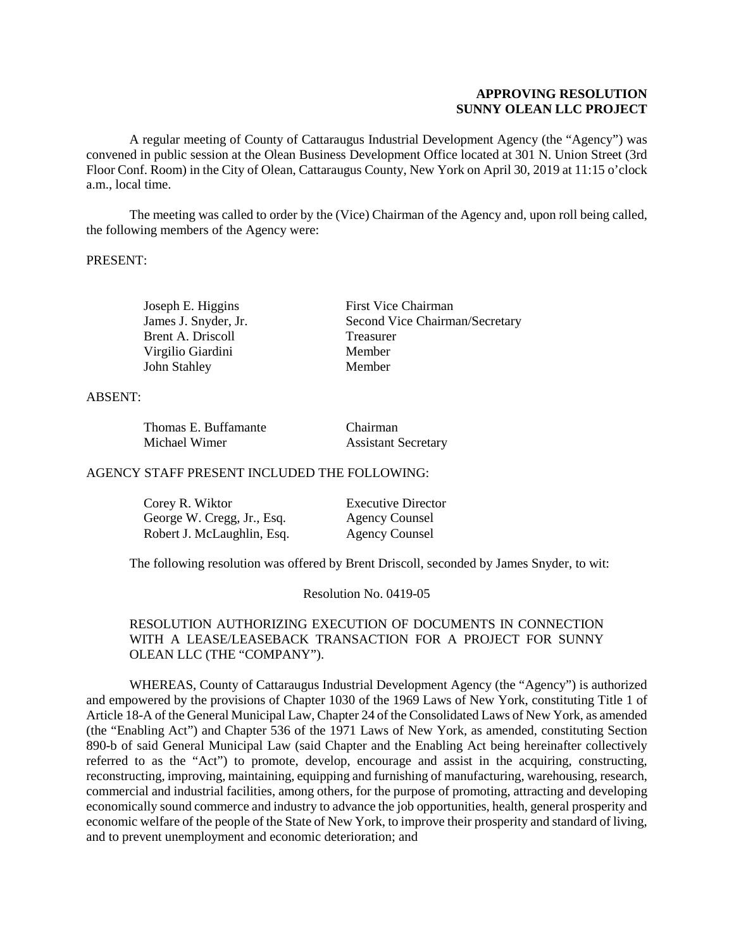## **APPROVING RESOLUTION SUNNY OLEAN LLC PROJECT**

A regular meeting of County of Cattaraugus Industrial Development Agency (the "Agency") was convened in public session at the Olean Business Development Office located at 301 N. Union Street (3rd Floor Conf. Room) in the City of Olean, Cattaraugus County, New York on April 30, 2019 at 11:15 o'clock a.m., local time.

The meeting was called to order by the (Vice) Chairman of the Agency and, upon roll being called, the following members of the Agency were:

#### PRESENT:

Joseph E. Higgins First Vice Chairman James J. Snyder, Jr. Second Vice Chairman/Secretary Brent A. Driscoll Treasurer Virgilio Giardini Member John Stahley Member

#### ABSENT:

| Thomas E. Buffamante | Chairman                   |
|----------------------|----------------------------|
| Michael Wimer        | <b>Assistant Secretary</b> |

#### AGENCY STAFF PRESENT INCLUDED THE FOLLOWING:

| Corey R. Wiktor            | <b>Executive Director</b> |
|----------------------------|---------------------------|
| George W. Cregg, Jr., Esq. | <b>Agency Counsel</b>     |
| Robert J. McLaughlin, Esq. | <b>Agency Counsel</b>     |

The following resolution was offered by Brent Driscoll, seconded by James Snyder, to wit:

Resolution No. 0419-05

#### RESOLUTION AUTHORIZING EXECUTION OF DOCUMENTS IN CONNECTION WITH A LEASE/LEASEBACK TRANSACTION FOR A PROJECT FOR SUNNY OLEAN LLC (THE "COMPANY").

WHEREAS, County of Cattaraugus Industrial Development Agency (the "Agency") is authorized and empowered by the provisions of Chapter 1030 of the 1969 Laws of New York, constituting Title 1 of Article 18-A of the General Municipal Law, Chapter 24 of the Consolidated Laws of New York, as amended (the "Enabling Act") and Chapter 536 of the 1971 Laws of New York, as amended, constituting Section 890-b of said General Municipal Law (said Chapter and the Enabling Act being hereinafter collectively referred to as the "Act") to promote, develop, encourage and assist in the acquiring, constructing, reconstructing, improving, maintaining, equipping and furnishing of manufacturing, warehousing, research, commercial and industrial facilities, among others, for the purpose of promoting, attracting and developing economically sound commerce and industry to advance the job opportunities, health, general prosperity and economic welfare of the people of the State of New York, to improve their prosperity and standard of living, and to prevent unemployment and economic deterioration; and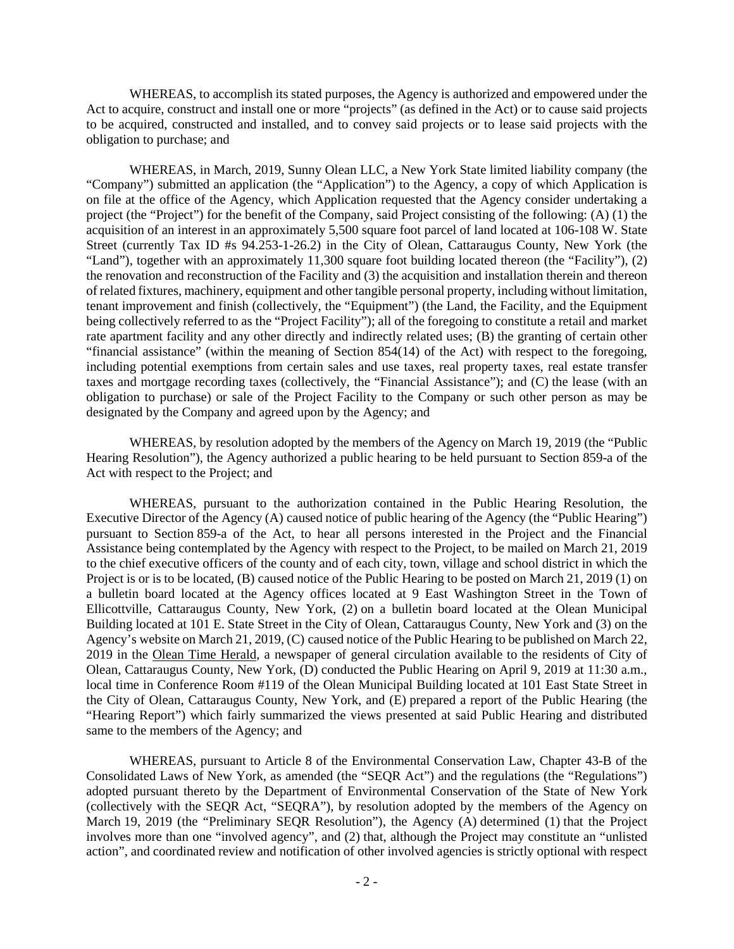WHEREAS, to accomplish its stated purposes, the Agency is authorized and empowered under the Act to acquire, construct and install one or more "projects" (as defined in the Act) or to cause said projects to be acquired, constructed and installed, and to convey said projects or to lease said projects with the obligation to purchase; and

WHEREAS, in March, 2019, Sunny Olean LLC, a New York State limited liability company (the "Company") submitted an application (the "Application") to the Agency, a copy of which Application is on file at the office of the Agency, which Application requested that the Agency consider undertaking a project (the "Project") for the benefit of the Company, said Project consisting of the following: (A) (1) the acquisition of an interest in an approximately 5,500 square foot parcel of land located at 106-108 W. State Street (currently Tax ID #s 94.253-1-26.2) in the City of Olean, Cattaraugus County, New York (the "Land"), together with an approximately 11,300 square foot building located thereon (the "Facility"), (2) the renovation and reconstruction of the Facility and (3) the acquisition and installation therein and thereon of related fixtures, machinery, equipment and other tangible personal property, including without limitation, tenant improvement and finish (collectively, the "Equipment") (the Land, the Facility, and the Equipment being collectively referred to as the "Project Facility"); all of the foregoing to constitute a retail and market rate apartment facility and any other directly and indirectly related uses; (B) the granting of certain other "financial assistance" (within the meaning of Section 854(14) of the Act) with respect to the foregoing, including potential exemptions from certain sales and use taxes, real property taxes, real estate transfer taxes and mortgage recording taxes (collectively, the "Financial Assistance"); and (C) the lease (with an obligation to purchase) or sale of the Project Facility to the Company or such other person as may be designated by the Company and agreed upon by the Agency; and

WHEREAS, by resolution adopted by the members of the Agency on March 19, 2019 (the "Public Hearing Resolution"), the Agency authorized a public hearing to be held pursuant to Section 859-a of the Act with respect to the Project; and

WHEREAS, pursuant to the authorization contained in the Public Hearing Resolution, the Executive Director of the Agency (A) caused notice of public hearing of the Agency (the "Public Hearing") pursuant to Section 859-a of the Act, to hear all persons interested in the Project and the Financial Assistance being contemplated by the Agency with respect to the Project, to be mailed on March 21, 2019 to the chief executive officers of the county and of each city, town, village and school district in which the Project is or is to be located, (B) caused notice of the Public Hearing to be posted on March 21, 2019 (1) on a bulletin board located at the Agency offices located at 9 East Washington Street in the Town of Ellicottville, Cattaraugus County, New York, (2) on a bulletin board located at the Olean Municipal Building located at 101 E. State Street in the City of Olean, Cattaraugus County, New York and (3) on the Agency's website on March 21, 2019, (C) caused notice of the Public Hearing to be published on March 22, 2019 in the Olean Time Herald, a newspaper of general circulation available to the residents of City of Olean, Cattaraugus County, New York, (D) conducted the Public Hearing on April 9, 2019 at 11:30 a.m., local time in Conference Room #119 of the Olean Municipal Building located at 101 East State Street in the City of Olean, Cattaraugus County, New York, and (E) prepared a report of the Public Hearing (the "Hearing Report") which fairly summarized the views presented at said Public Hearing and distributed same to the members of the Agency; and

WHEREAS, pursuant to Article 8 of the Environmental Conservation Law, Chapter 43-B of the Consolidated Laws of New York, as amended (the "SEQR Act") and the regulations (the "Regulations") adopted pursuant thereto by the Department of Environmental Conservation of the State of New York (collectively with the SEQR Act, "SEQRA"), by resolution adopted by the members of the Agency on March 19, 2019 (the "Preliminary SEQR Resolution"), the Agency (A) determined (1) that the Project involves more than one "involved agency", and (2) that, although the Project may constitute an "unlisted action", and coordinated review and notification of other involved agencies is strictly optional with respect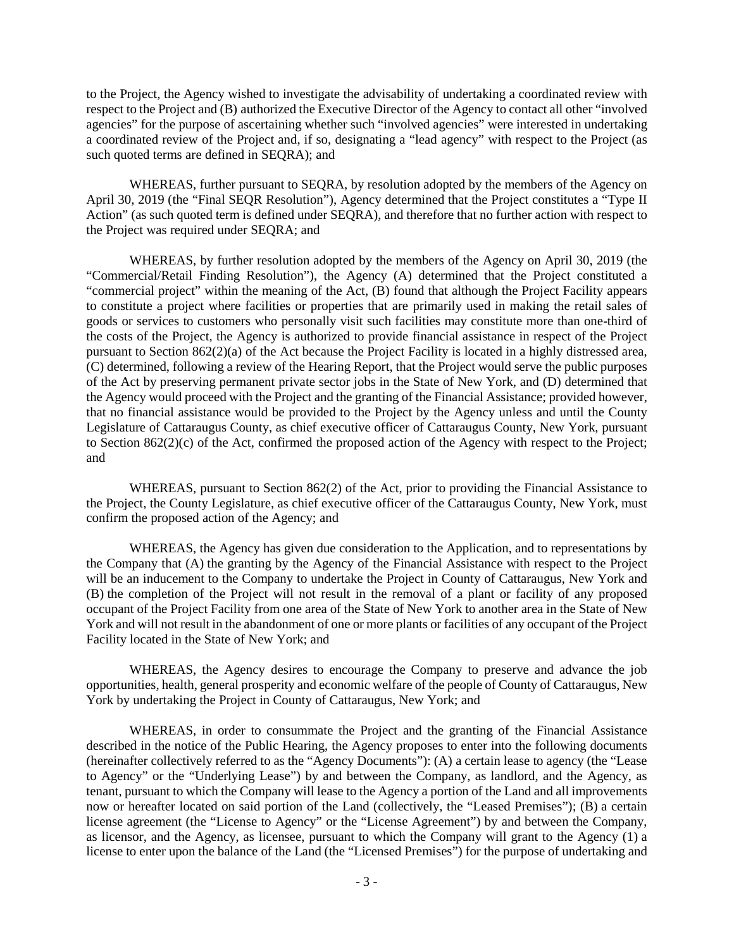to the Project, the Agency wished to investigate the advisability of undertaking a coordinated review with respect to the Project and (B) authorized the Executive Director of the Agency to contact all other "involved agencies" for the purpose of ascertaining whether such "involved agencies" were interested in undertaking a coordinated review of the Project and, if so, designating a "lead agency" with respect to the Project (as such quoted terms are defined in SEQRA); and

WHEREAS, further pursuant to SEQRA, by resolution adopted by the members of the Agency on April 30, 2019 (the "Final SEQR Resolution"), Agency determined that the Project constitutes a "Type II Action" (as such quoted term is defined under SEQRA), and therefore that no further action with respect to the Project was required under SEQRA; and

WHEREAS, by further resolution adopted by the members of the Agency on April 30, 2019 (the "Commercial/Retail Finding Resolution"), the Agency (A) determined that the Project constituted a "commercial project" within the meaning of the Act, (B) found that although the Project Facility appears to constitute a project where facilities or properties that are primarily used in making the retail sales of goods or services to customers who personally visit such facilities may constitute more than one-third of the costs of the Project, the Agency is authorized to provide financial assistance in respect of the Project pursuant to Section 862(2)(a) of the Act because the Project Facility is located in a highly distressed area, (C) determined, following a review of the Hearing Report, that the Project would serve the public purposes of the Act by preserving permanent private sector jobs in the State of New York, and (D) determined that the Agency would proceed with the Project and the granting of the Financial Assistance; provided however, that no financial assistance would be provided to the Project by the Agency unless and until the County Legislature of Cattaraugus County, as chief executive officer of Cattaraugus County, New York, pursuant to Section 862(2)(c) of the Act, confirmed the proposed action of the Agency with respect to the Project; and

WHEREAS, pursuant to Section 862(2) of the Act, prior to providing the Financial Assistance to the Project, the County Legislature, as chief executive officer of the Cattaraugus County, New York, must confirm the proposed action of the Agency; and

WHEREAS, the Agency has given due consideration to the Application, and to representations by the Company that (A) the granting by the Agency of the Financial Assistance with respect to the Project will be an inducement to the Company to undertake the Project in County of Cattaraugus, New York and (B) the completion of the Project will not result in the removal of a plant or facility of any proposed occupant of the Project Facility from one area of the State of New York to another area in the State of New York and will not result in the abandonment of one or more plants or facilities of any occupant of the Project Facility located in the State of New York; and

WHEREAS, the Agency desires to encourage the Company to preserve and advance the job opportunities, health, general prosperity and economic welfare of the people of County of Cattaraugus, New York by undertaking the Project in County of Cattaraugus, New York; and

WHEREAS, in order to consummate the Project and the granting of the Financial Assistance described in the notice of the Public Hearing, the Agency proposes to enter into the following documents (hereinafter collectively referred to as the "Agency Documents"): (A) a certain lease to agency (the "Lease to Agency" or the "Underlying Lease") by and between the Company, as landlord, and the Agency, as tenant, pursuant to which the Company will lease to the Agency a portion of the Land and all improvements now or hereafter located on said portion of the Land (collectively, the "Leased Premises"); (B) a certain license agreement (the "License to Agency" or the "License Agreement") by and between the Company, as licensor, and the Agency, as licensee, pursuant to which the Company will grant to the Agency (1) a license to enter upon the balance of the Land (the "Licensed Premises") for the purpose of undertaking and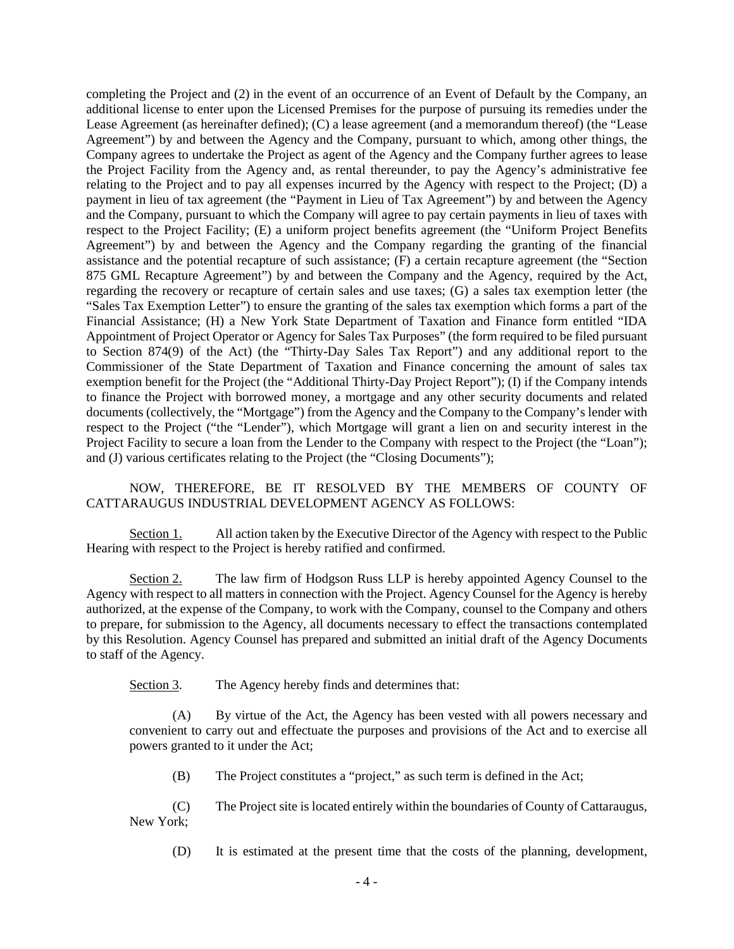completing the Project and (2) in the event of an occurrence of an Event of Default by the Company, an additional license to enter upon the Licensed Premises for the purpose of pursuing its remedies under the Lease Agreement (as hereinafter defined); (C) a lease agreement (and a memorandum thereof) (the "Lease Agreement") by and between the Agency and the Company, pursuant to which, among other things, the Company agrees to undertake the Project as agent of the Agency and the Company further agrees to lease the Project Facility from the Agency and, as rental thereunder, to pay the Agency's administrative fee relating to the Project and to pay all expenses incurred by the Agency with respect to the Project; (D) a payment in lieu of tax agreement (the "Payment in Lieu of Tax Agreement") by and between the Agency and the Company, pursuant to which the Company will agree to pay certain payments in lieu of taxes with respect to the Project Facility; (E) a uniform project benefits agreement (the "Uniform Project Benefits Agreement") by and between the Agency and the Company regarding the granting of the financial assistance and the potential recapture of such assistance; (F) a certain recapture agreement (the "Section 875 GML Recapture Agreement") by and between the Company and the Agency, required by the Act, regarding the recovery or recapture of certain sales and use taxes; (G) a sales tax exemption letter (the "Sales Tax Exemption Letter") to ensure the granting of the sales tax exemption which forms a part of the Financial Assistance; (H) a New York State Department of Taxation and Finance form entitled "IDA Appointment of Project Operator or Agency for Sales Tax Purposes" (the form required to be filed pursuant to Section 874(9) of the Act) (the "Thirty-Day Sales Tax Report") and any additional report to the Commissioner of the State Department of Taxation and Finance concerning the amount of sales tax exemption benefit for the Project (the "Additional Thirty-Day Project Report"); (I) if the Company intends to finance the Project with borrowed money, a mortgage and any other security documents and related documents (collectively, the "Mortgage") from the Agency and the Company to the Company's lender with respect to the Project ("the "Lender"), which Mortgage will grant a lien on and security interest in the Project Facility to secure a loan from the Lender to the Company with respect to the Project (the "Loan"); and (J) various certificates relating to the Project (the "Closing Documents");

## NOW, THEREFORE, BE IT RESOLVED BY THE MEMBERS OF COUNTY OF CATTARAUGUS INDUSTRIAL DEVELOPMENT AGENCY AS FOLLOWS:

Section 1. All action taken by the Executive Director of the Agency with respect to the Public Hearing with respect to the Project is hereby ratified and confirmed.

Section 2. The law firm of Hodgson Russ LLP is hereby appointed Agency Counsel to the Agency with respect to all matters in connection with the Project. Agency Counsel for the Agency is hereby authorized, at the expense of the Company, to work with the Company, counsel to the Company and others to prepare, for submission to the Agency, all documents necessary to effect the transactions contemplated by this Resolution. Agency Counsel has prepared and submitted an initial draft of the Agency Documents to staff of the Agency.

Section 3. The Agency hereby finds and determines that:

(A) By virtue of the Act, the Agency has been vested with all powers necessary and convenient to carry out and effectuate the purposes and provisions of the Act and to exercise all powers granted to it under the Act;

(B) The Project constitutes a "project," as such term is defined in the Act;

(C) The Project site is located entirely within the boundaries of County of Cattaraugus, New York;

(D) It is estimated at the present time that the costs of the planning, development,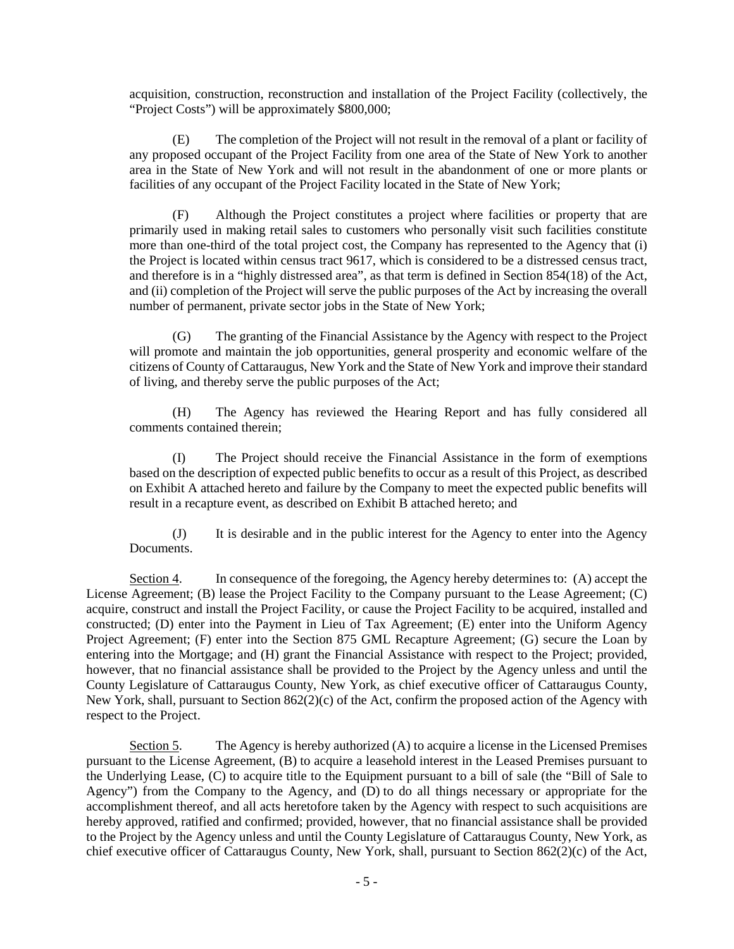acquisition, construction, reconstruction and installation of the Project Facility (collectively, the "Project Costs") will be approximately \$800,000;

(E) The completion of the Project will not result in the removal of a plant or facility of any proposed occupant of the Project Facility from one area of the State of New York to another area in the State of New York and will not result in the abandonment of one or more plants or facilities of any occupant of the Project Facility located in the State of New York;

(F) Although the Project constitutes a project where facilities or property that are primarily used in making retail sales to customers who personally visit such facilities constitute more than one-third of the total project cost, the Company has represented to the Agency that (i) the Project is located within census tract 9617, which is considered to be a distressed census tract, and therefore is in a "highly distressed area", as that term is defined in Section 854(18) of the Act, and (ii) completion of the Project will serve the public purposes of the Act by increasing the overall number of permanent, private sector jobs in the State of New York;

(G) The granting of the Financial Assistance by the Agency with respect to the Project will promote and maintain the job opportunities, general prosperity and economic welfare of the citizens of County of Cattaraugus, New York and the State of New York and improve their standard of living, and thereby serve the public purposes of the Act;

(H) The Agency has reviewed the Hearing Report and has fully considered all comments contained therein;

(I) The Project should receive the Financial Assistance in the form of exemptions based on the description of expected public benefits to occur as a result of this Project, as described on Exhibit A attached hereto and failure by the Company to meet the expected public benefits will result in a recapture event, as described on Exhibit B attached hereto; and

(J) It is desirable and in the public interest for the Agency to enter into the Agency Documents.

Section 4. In consequence of the foregoing, the Agency hereby determines to: (A) accept the License Agreement; (B) lease the Project Facility to the Company pursuant to the Lease Agreement; (C) acquire, construct and install the Project Facility, or cause the Project Facility to be acquired, installed and constructed; (D) enter into the Payment in Lieu of Tax Agreement; (E) enter into the Uniform Agency Project Agreement; (F) enter into the Section 875 GML Recapture Agreement; (G) secure the Loan by entering into the Mortgage; and (H) grant the Financial Assistance with respect to the Project; provided, however, that no financial assistance shall be provided to the Project by the Agency unless and until the County Legislature of Cattaraugus County, New York, as chief executive officer of Cattaraugus County, New York, shall, pursuant to Section  $862(2)(c)$  of the Act, confirm the proposed action of the Agency with respect to the Project.

Section 5. The Agency is hereby authorized (A) to acquire a license in the Licensed Premises pursuant to the License Agreement, (B) to acquire a leasehold interest in the Leased Premises pursuant to the Underlying Lease, (C) to acquire title to the Equipment pursuant to a bill of sale (the "Bill of Sale to Agency") from the Company to the Agency, and (D) to do all things necessary or appropriate for the accomplishment thereof, and all acts heretofore taken by the Agency with respect to such acquisitions are hereby approved, ratified and confirmed; provided, however, that no financial assistance shall be provided to the Project by the Agency unless and until the County Legislature of Cattaraugus County, New York, as chief executive officer of Cattaraugus County, New York, shall, pursuant to Section 862(2)(c) of the Act,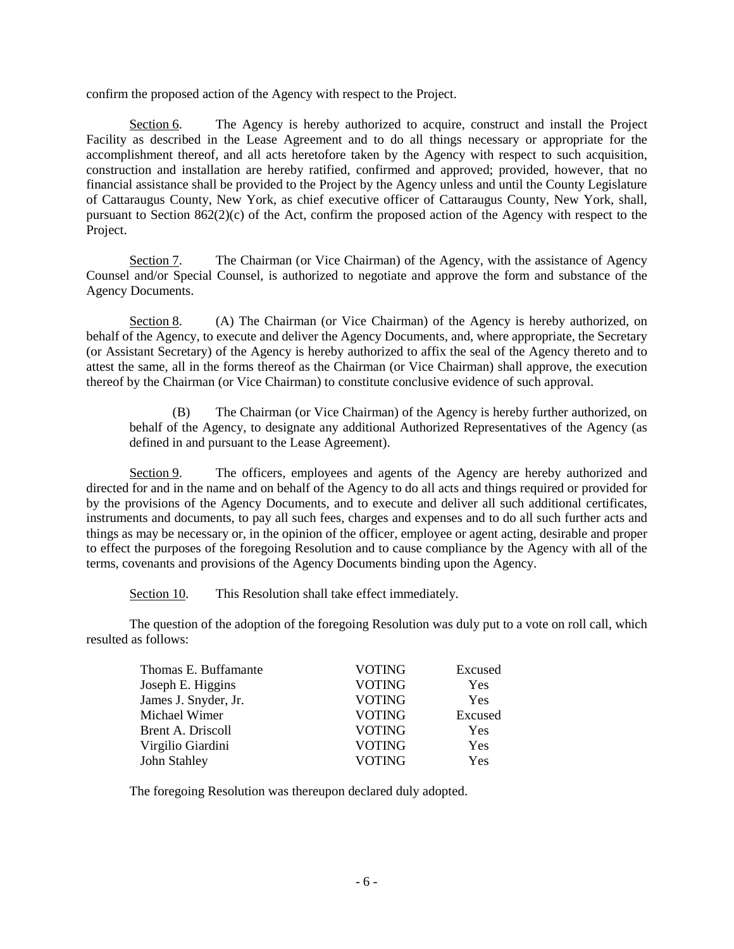confirm the proposed action of the Agency with respect to the Project.

Section 6. The Agency is hereby authorized to acquire, construct and install the Project Facility as described in the Lease Agreement and to do all things necessary or appropriate for the accomplishment thereof, and all acts heretofore taken by the Agency with respect to such acquisition, construction and installation are hereby ratified, confirmed and approved; provided, however, that no financial assistance shall be provided to the Project by the Agency unless and until the County Legislature of Cattaraugus County, New York, as chief executive officer of Cattaraugus County, New York, shall, pursuant to Section  $862(2)(c)$  of the Act, confirm the proposed action of the Agency with respect to the Project.

Section 7. The Chairman (or Vice Chairman) of the Agency, with the assistance of Agency Counsel and/or Special Counsel, is authorized to negotiate and approve the form and substance of the Agency Documents.

Section 8. (A) The Chairman (or Vice Chairman) of the Agency is hereby authorized, on behalf of the Agency, to execute and deliver the Agency Documents, and, where appropriate, the Secretary (or Assistant Secretary) of the Agency is hereby authorized to affix the seal of the Agency thereto and to attest the same, all in the forms thereof as the Chairman (or Vice Chairman) shall approve, the execution thereof by the Chairman (or Vice Chairman) to constitute conclusive evidence of such approval.

(B) The Chairman (or Vice Chairman) of the Agency is hereby further authorized, on behalf of the Agency, to designate any additional Authorized Representatives of the Agency (as defined in and pursuant to the Lease Agreement).

Section 9. The officers, employees and agents of the Agency are hereby authorized and directed for and in the name and on behalf of the Agency to do all acts and things required or provided for by the provisions of the Agency Documents, and to execute and deliver all such additional certificates, instruments and documents, to pay all such fees, charges and expenses and to do all such further acts and things as may be necessary or, in the opinion of the officer, employee or agent acting, desirable and proper to effect the purposes of the foregoing Resolution and to cause compliance by the Agency with all of the terms, covenants and provisions of the Agency Documents binding upon the Agency.

Section 10. This Resolution shall take effect immediately.

The question of the adoption of the foregoing Resolution was duly put to a vote on roll call, which resulted as follows:

| Thomas E. Buffamante | <b>VOTING</b> | Excused    |
|----------------------|---------------|------------|
| Joseph E. Higgins    | <b>VOTING</b> | Yes        |
| James J. Snyder, Jr. | <b>VOTING</b> | <b>Yes</b> |
| Michael Wimer        | <b>VOTING</b> | Excused    |
| Brent A. Driscoll    | <b>VOTING</b> | Yes        |
| Virgilio Giardini    | <b>VOTING</b> | Yes        |
| John Stahley         | <b>VOTING</b> | <b>Yes</b> |

The foregoing Resolution was thereupon declared duly adopted.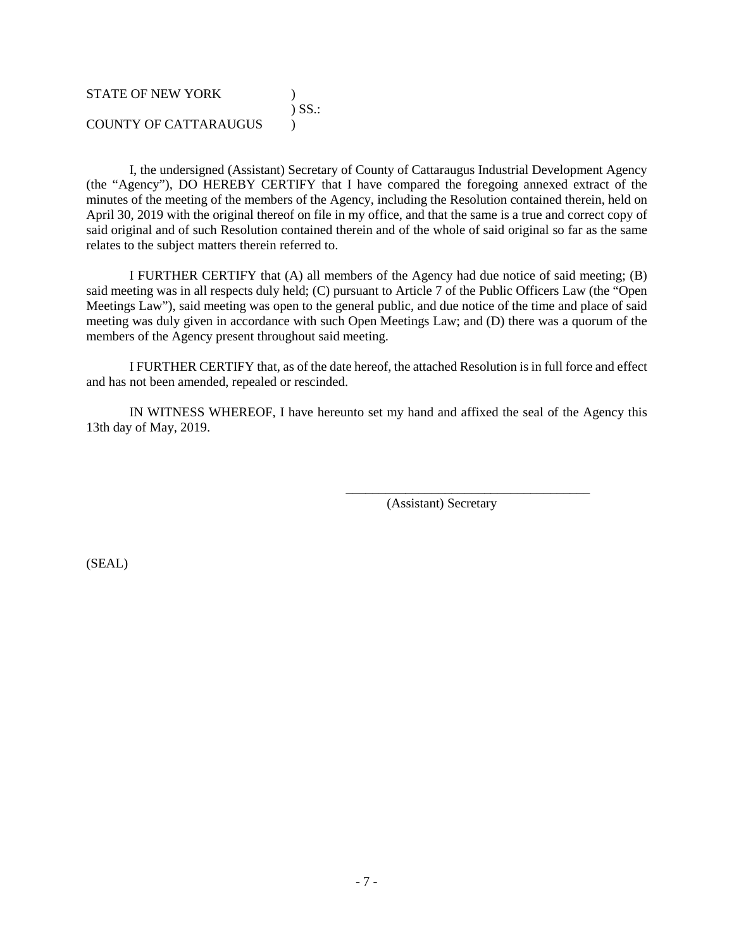## STATE OF NEW YORK (1997) ) SS.: COUNTY OF CATTARAUGUS )

I, the undersigned (Assistant) Secretary of County of Cattaraugus Industrial Development Agency (the "Agency"), DO HEREBY CERTIFY that I have compared the foregoing annexed extract of the minutes of the meeting of the members of the Agency, including the Resolution contained therein, held on April 30, 2019 with the original thereof on file in my office, and that the same is a true and correct copy of said original and of such Resolution contained therein and of the whole of said original so far as the same relates to the subject matters therein referred to.

I FURTHER CERTIFY that (A) all members of the Agency had due notice of said meeting; (B) said meeting was in all respects duly held; (C) pursuant to Article 7 of the Public Officers Law (the "Open Meetings Law"), said meeting was open to the general public, and due notice of the time and place of said meeting was duly given in accordance with such Open Meetings Law; and (D) there was a quorum of the members of the Agency present throughout said meeting.

I FURTHER CERTIFY that, as of the date hereof, the attached Resolution is in full force and effect and has not been amended, repealed or rescinded.

IN WITNESS WHEREOF, I have hereunto set my hand and affixed the seal of the Agency this 13th day of May, 2019.

(Assistant) Secretary

\_\_\_\_\_\_\_\_\_\_\_\_\_\_\_\_\_\_\_\_\_\_\_\_\_\_\_\_\_\_\_\_\_\_\_\_\_

(SEAL)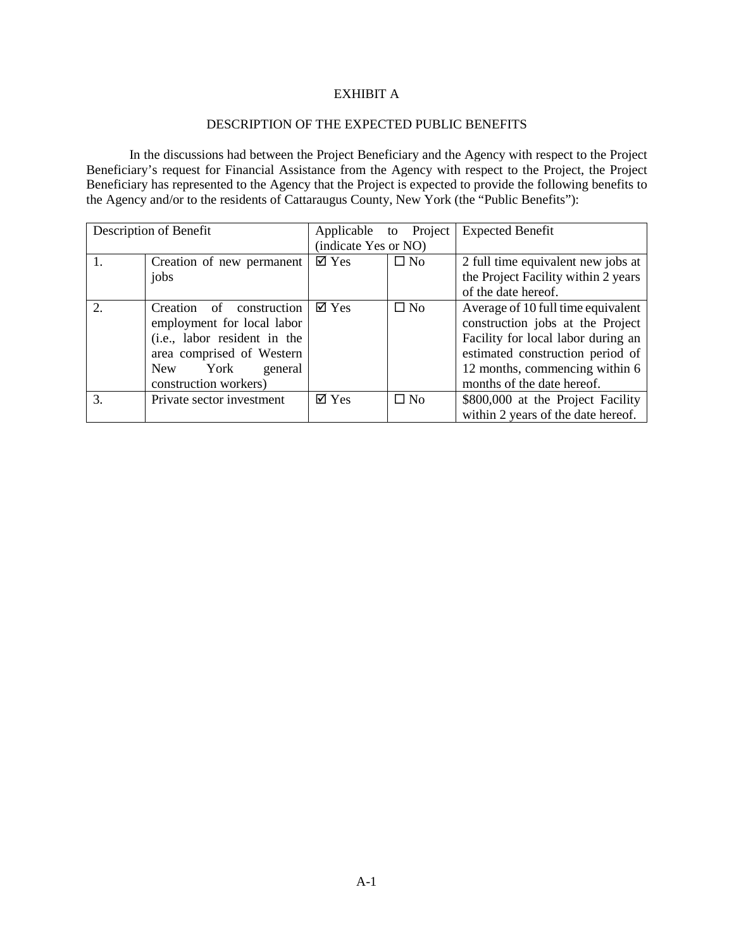## EXHIBIT A

#### DESCRIPTION OF THE EXPECTED PUBLIC BENEFITS

In the discussions had between the Project Beneficiary and the Agency with respect to the Project Beneficiary's request for Financial Assistance from the Agency with respect to the Project, the Project Beneficiary has represented to the Agency that the Project is expected to provide the following benefits to the Agency and/or to the residents of Cattaraugus County, New York (the "Public Benefits"):

|                             | Description of Benefit       | Applicable to Project |              | <b>Expected Benefit</b>             |
|-----------------------------|------------------------------|-----------------------|--------------|-------------------------------------|
|                             |                              | (indicate Yes or NO)  |              |                                     |
| 1.                          | Creation of new permanent    | $\boxtimes$ Yes       | $\square$ No | 2 full time equivalent new jobs at  |
|                             | jobs                         |                       |              | the Project Facility within 2 years |
|                             |                              |                       |              | of the date hereof.                 |
| $\mathcal{D}_{\mathcal{L}}$ | Creation of construction     | $\boxtimes$ Yes       | $\square$ No | Average of 10 full time equivalent  |
|                             | employment for local labor   |                       |              | construction jobs at the Project    |
|                             | (i.e., labor resident in the |                       |              | Facility for local labor during an  |
|                             | area comprised of Western    |                       |              | estimated construction period of    |
|                             | York<br>New<br>general       |                       |              | 12 months, commencing within 6      |
|                             | construction workers)        |                       |              | months of the date hereof.          |
| 3.                          | Private sector investment    | $\boxtimes$ Yes       | $\square$ No | \$800,000 at the Project Facility   |
|                             |                              |                       |              | within 2 years of the date hereof.  |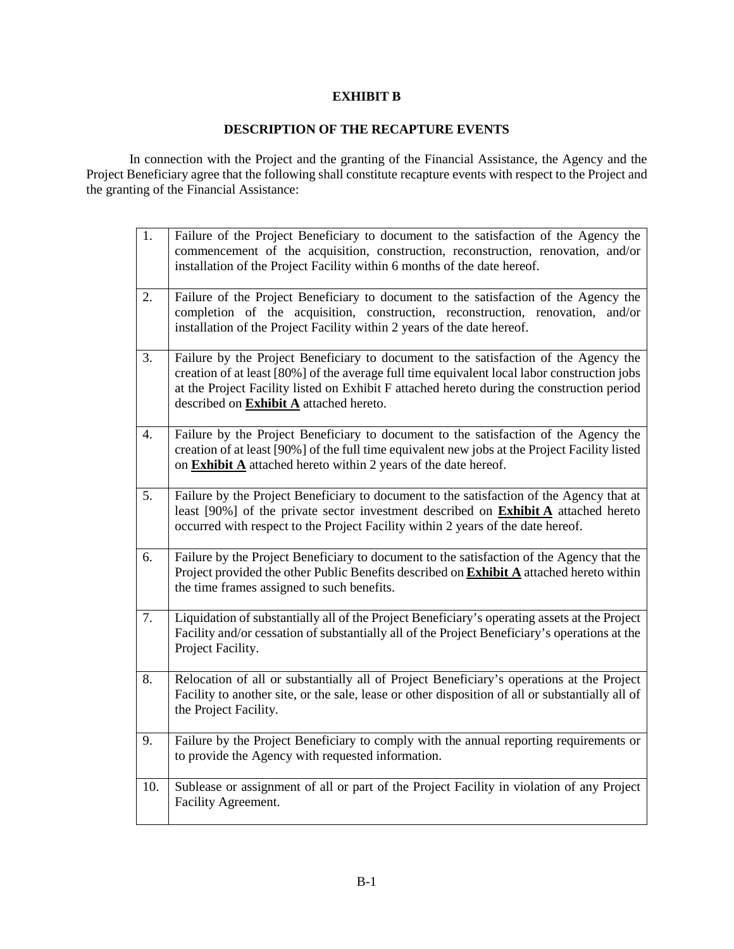## **EXHIBIT B**

# **DESCRIPTION OF THE RECAPTURE EVENTS**

In connection with the Project and the granting of the Financial Assistance, the Agency and the Project Beneficiary agree that the following shall constitute recapture events with respect to the Project and the granting of the Financial Assistance:

| 1.  | Failure of the Project Beneficiary to document to the satisfaction of the Agency the<br>commencement of the acquisition, construction, reconstruction, renovation, and/or<br>installation of the Project Facility within 6 months of the date hereof.                                                                                |
|-----|--------------------------------------------------------------------------------------------------------------------------------------------------------------------------------------------------------------------------------------------------------------------------------------------------------------------------------------|
| 2.  | Failure of the Project Beneficiary to document to the satisfaction of the Agency the<br>completion of the acquisition, construction, reconstruction, renovation,<br>and/or<br>installation of the Project Facility within 2 years of the date hereof.                                                                                |
| 3.  | Failure by the Project Beneficiary to document to the satisfaction of the Agency the<br>creation of at least [80%] of the average full time equivalent local labor construction jobs<br>at the Project Facility listed on Exhibit F attached hereto during the construction period<br>described on <b>Exhibit A</b> attached hereto. |
| 4.  | Failure by the Project Beneficiary to document to the satisfaction of the Agency the<br>creation of at least [90%] of the full time equivalent new jobs at the Project Facility listed<br>on <b>Exhibit A</b> attached hereto within 2 years of the date hereof.                                                                     |
| 5.  | Failure by the Project Beneficiary to document to the satisfaction of the Agency that at<br>least [90%] of the private sector investment described on <b>Exhibit A</b> attached hereto<br>occurred with respect to the Project Facility within 2 years of the date hereof.                                                           |
| 6.  | Failure by the Project Beneficiary to document to the satisfaction of the Agency that the<br>Project provided the other Public Benefits described on <b>Exhibit A</b> attached hereto within<br>the time frames assigned to such benefits.                                                                                           |
| 7.  | Liquidation of substantially all of the Project Beneficiary's operating assets at the Project<br>Facility and/or cessation of substantially all of the Project Beneficiary's operations at the<br>Project Facility.                                                                                                                  |
| 8.  | Relocation of all or substantially all of Project Beneficiary's operations at the Project<br>Facility to another site, or the sale, lease or other disposition of all or substantially all of<br>the Project Facility.                                                                                                               |
| 9.  | Failure by the Project Beneficiary to comply with the annual reporting requirements or<br>to provide the Agency with requested information.                                                                                                                                                                                          |
| 10. | Sublease or assignment of all or part of the Project Facility in violation of any Project<br>Facility Agreement.                                                                                                                                                                                                                     |